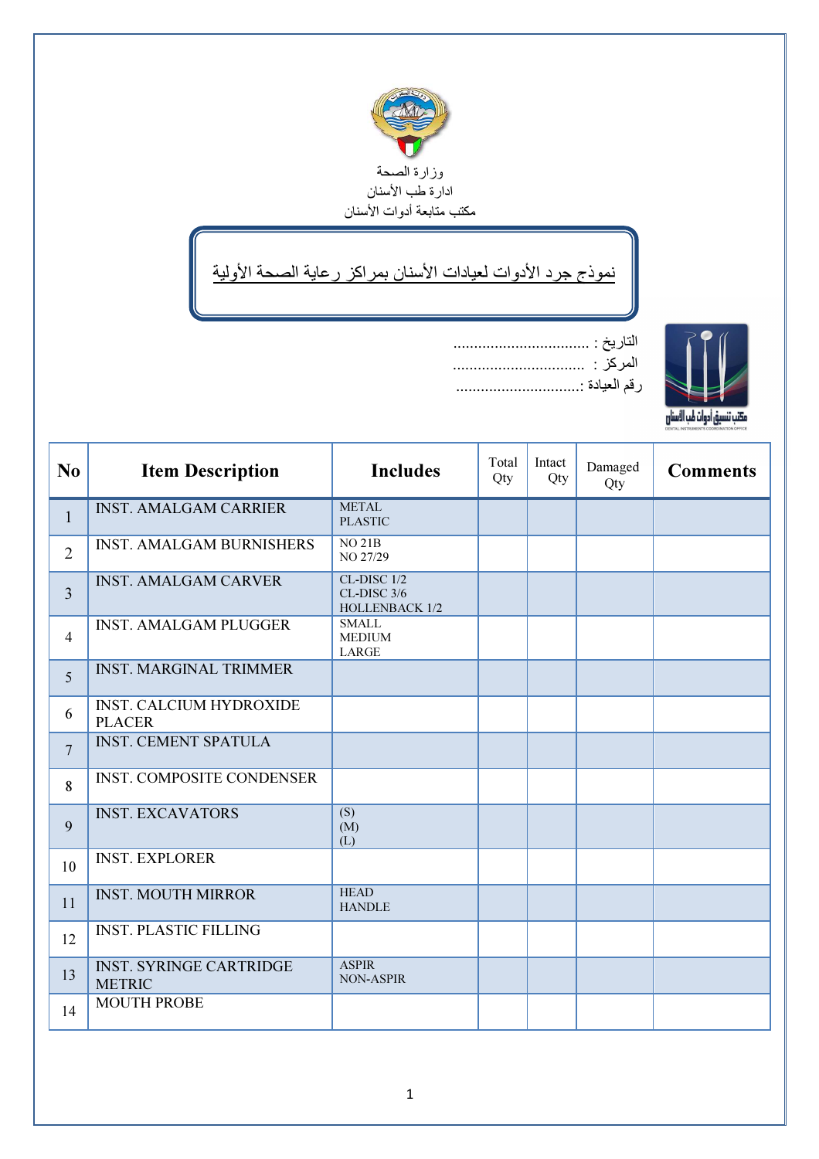

## نموذج جرد الأدوات لعيادات الأسنان بمراكز رعاية الصحة الأولية



| N <sub>0</sub>  | <b>Item Description</b>                         | <b>Includes</b>                                     | Total<br>Qty | Intact<br>Qty | Damaged<br>Qty | <b>Comments</b> |
|-----------------|-------------------------------------------------|-----------------------------------------------------|--------------|---------------|----------------|-----------------|
| $\mathbf{1}$    | <b>INST. AMALGAM CARRIER</b>                    | <b>METAL</b><br><b>PLASTIC</b>                      |              |               |                |                 |
| $\overline{2}$  | <b>INST. AMALGAM BURNISHERS</b>                 | <b>NO 21B</b><br>NO 27/29                           |              |               |                |                 |
| $\overline{3}$  | <b>INST. AMALGAM CARVER</b>                     | CL-DISC 1/2<br>CL-DISC 3/6<br><b>HOLLENBACK 1/2</b> |              |               |                |                 |
| $\overline{4}$  | <b>INST. AMALGAM PLUGGER</b>                    | <b>SMALL</b><br><b>MEDIUM</b><br><b>LARGE</b>       |              |               |                |                 |
| 5               | <b>INST. MARGINAL TRIMMER</b>                   |                                                     |              |               |                |                 |
| 6               | <b>INST. CALCIUM HYDROXIDE</b><br><b>PLACER</b> |                                                     |              |               |                |                 |
| $7\phantom{.0}$ | <b>INST. CEMENT SPATULA</b>                     |                                                     |              |               |                |                 |
| 8               | <b>INST. COMPOSITE CONDENSER</b>                |                                                     |              |               |                |                 |
| 9               | <b>INST. EXCAVATORS</b>                         | (S)<br>(M)<br>(L)                                   |              |               |                |                 |
| 10              | <b>INST. EXPLORER</b>                           |                                                     |              |               |                |                 |
| 11              | <b>INST. MOUTH MIRROR</b>                       | <b>HEAD</b><br><b>HANDLE</b>                        |              |               |                |                 |
| 12              | <b>INST. PLASTIC FILLING</b>                    |                                                     |              |               |                |                 |
| 13              | <b>INST. SYRINGE CARTRIDGE</b><br><b>METRIC</b> | <b>ASPIR</b><br><b>NON-ASPIR</b>                    |              |               |                |                 |
| 14              | <b>MOUTH PROBE</b>                              |                                                     |              |               |                |                 |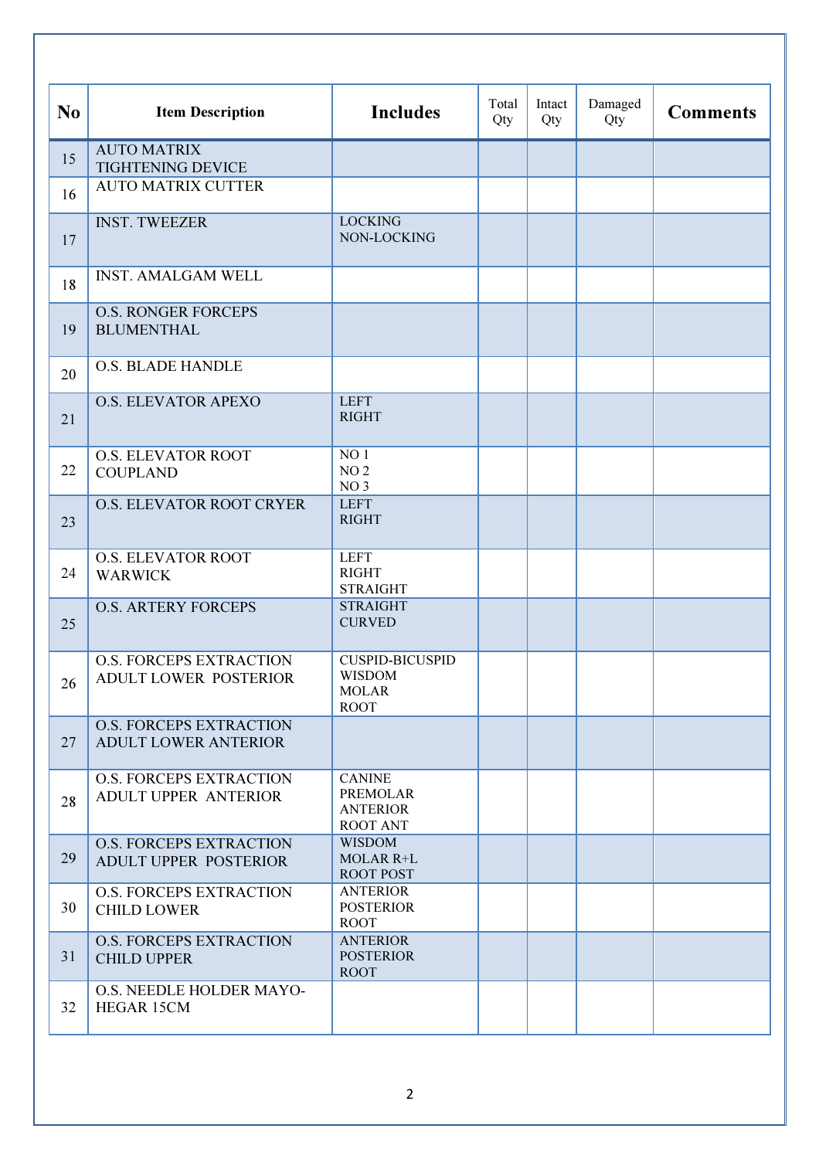| N <sub>0</sub> | <b>Item Description</b>                                        | <b>Includes</b>                                                        | Total<br>Qty | Intact<br>Qty | Damaged<br>Qty | <b>Comments</b> |
|----------------|----------------------------------------------------------------|------------------------------------------------------------------------|--------------|---------------|----------------|-----------------|
| 15             | <b>AUTO MATRIX</b><br><b>TIGHTENING DEVICE</b>                 |                                                                        |              |               |                |                 |
| 16             | <b>AUTO MATRIX CUTTER</b>                                      |                                                                        |              |               |                |                 |
| 17             | <b>INST. TWEEZER</b>                                           | <b>LOCKING</b><br>NON-LOCKING                                          |              |               |                |                 |
| 18             | <b>INST. AMALGAM WELL</b>                                      |                                                                        |              |               |                |                 |
| 19             | <b>O.S. RONGER FORCEPS</b><br><b>BLUMENTHAL</b>                |                                                                        |              |               |                |                 |
| 20             | <b>O.S. BLADE HANDLE</b>                                       |                                                                        |              |               |                |                 |
| 21             | <b>O.S. ELEVATOR APEXO</b>                                     | <b>LEFT</b><br><b>RIGHT</b>                                            |              |               |                |                 |
| 22             | <b>O.S. ELEVATOR ROOT</b><br><b>COUPLAND</b>                   | NO <sub>1</sub><br>NO <sub>2</sub><br>NO <sub>3</sub>                  |              |               |                |                 |
| 23             | O.S. ELEVATOR ROOT CRYER                                       | <b>LEFT</b><br><b>RIGHT</b>                                            |              |               |                |                 |
| 24             | <b>O.S. ELEVATOR ROOT</b><br><b>WARWICK</b>                    | <b>LEFT</b><br><b>RIGHT</b><br><b>STRAIGHT</b>                         |              |               |                |                 |
| 25             | <b>O.S. ARTERY FORCEPS</b>                                     | <b>STRAIGHT</b><br><b>CURVED</b>                                       |              |               |                |                 |
| 26             | <b>O.S. FORCEPS EXTRACTION</b><br>ADULT LOWER POSTERIOR        | <b>CUSPID-BICUSPID</b><br><b>WISDOM</b><br><b>MOLAR</b><br><b>ROOT</b> |              |               |                |                 |
| 27             | <b>O.S. FORCEPS EXTRACTION</b><br><b>ADULT LOWER ANTERIOR</b>  |                                                                        |              |               |                |                 |
| 28             | <b>O.S. FORCEPS EXTRACTION</b><br><b>ADULT UPPER ANTERIOR</b>  | <b>CANINE</b><br><b>PREMOLAR</b><br><b>ANTERIOR</b><br><b>ROOT ANT</b> |              |               |                |                 |
| 29             | <b>O.S. FORCEPS EXTRACTION</b><br><b>ADULT UPPER POSTERIOR</b> | <b>WISDOM</b><br><b>MOLAR R+L</b><br><b>ROOT POST</b>                  |              |               |                |                 |
| 30             | <b>O.S. FORCEPS EXTRACTION</b><br><b>CHILD LOWER</b>           | <b>ANTERIOR</b><br><b>POSTERIOR</b><br><b>ROOT</b>                     |              |               |                |                 |
| 31             | <b>O.S. FORCEPS EXTRACTION</b><br><b>CHILD UPPER</b>           | <b>ANTERIOR</b><br><b>POSTERIOR</b><br><b>ROOT</b>                     |              |               |                |                 |
| 32             | O.S. NEEDLE HOLDER MAYO-<br><b>HEGAR 15CM</b>                  |                                                                        |              |               |                |                 |